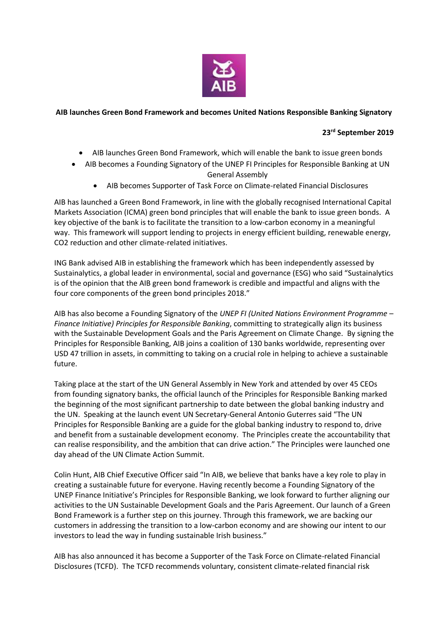

## **AIB launches Green Bond Framework and becomes United Nations Responsible Banking Signatory**

# **23rd September 2019**

- AIB launches Green Bond Framework, which will enable the bank to issue green bonds
- AIB becomes a Founding Signatory of the UNEP FI Principles for Responsible Banking at UN General Assembly
	- AIB becomes Supporter of Task Force on Climate-related Financial Disclosures

AIB has launched a Green Bond Framework, in line with the globally recognised International Capital Markets Association (ICMA) green bond principles that will enable the bank to issue green bonds. A key objective of the bank is to facilitate the transition to a low-carbon economy in a meaningful way. This framework will support lending to projects in energy efficient building, renewable energy, CO2 reduction and other climate-related initiatives.

ING Bank advised AIB in establishing the framework which has been independently assessed by Sustainalytics, a global leader in environmental, social and governance (ESG) who said "Sustainalytics is of the opinion that the AIB green bond framework is credible and impactful and aligns with the four core components of the green bond principles 2018."

AIB has also become a Founding Signatory of the *UNEP FI (United Nations Environment Programme – Finance Initiative) Principles for Responsible Banking*, committing to strategically align its business with the Sustainable Development Goals and the Paris Agreement on Climate Change. By signing the Principles for Responsible Banking, AIB joins a coalition of 130 banks worldwide, representing over USD 47 trillion in assets, in committing to taking on a crucial role in helping to achieve a sustainable future.

Taking place at the start of the UN General Assembly in New York and attended by over 45 CEOs from founding signatory banks, the official launch of the Principles for Responsible Banking marked the beginning of the most significant partnership to date between the global banking industry and the UN. Speaking at the launch event UN Secretary-General Antonio Guterres said "The UN Principles for Responsible Banking are a guide for the global banking industry to respond to, drive and benefit from a sustainable development economy. The Principles create the accountability that can realise responsibility, and the ambition that can drive action." The Principles were launched one day ahead of the UN Climate Action Summit.

Colin Hunt, AIB Chief Executive Officer said "In AIB, we believe that banks have a key role to play in creating a sustainable future for everyone. Having recently become a Founding Signatory of the UNEP Finance Initiative's Principles for Responsible Banking, we look forward to further aligning our activities to the UN Sustainable Development Goals and the Paris Agreement. Our launch of a Green Bond Framework is a further step on this journey. Through this framework, we are backing our customers in addressing the transition to a low-carbon economy and are showing our intent to our investors to lead the way in funding sustainable Irish business."

AIB has also announced it has become a Supporter of the Task Force on Climate-related Financial Disclosures (TCFD). The TCFD recommends voluntary, consistent climate-related financial risk